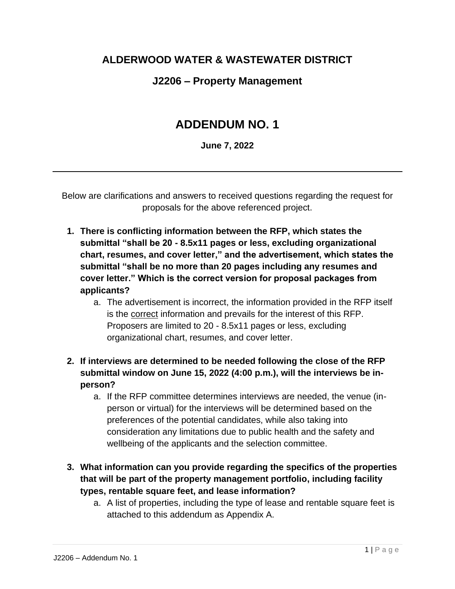### **ALDERWOOD WATER & WASTEWATER DISTRICT**

### **J2206 – Property Management**

# **ADDENDUM NO. 1**

**June 7, 2022**

Below are clarifications and answers to received questions regarding the request for proposals for the above referenced project.

- **1. There is conflicting information between the RFP, which states the submittal "shall be 20 - 8.5x11 pages or less, excluding organizational chart, resumes, and cover letter," and the advertisement, which states the submittal "shall be no more than 20 pages including any resumes and cover letter." Which is the correct version for proposal packages from applicants?** 
	- a. The advertisement is incorrect, the information provided in the RFP itself is the correct information and prevails for the interest of this RFP. Proposers are limited to 20 - 8.5x11 pages or less, excluding organizational chart, resumes, and cover letter.
- **2. If interviews are determined to be needed following the close of the RFP submittal window on June 15, 2022 (4:00 p.m.), will the interviews be inperson?**
	- a. If the RFP committee determines interviews are needed, the venue (inperson or virtual) for the interviews will be determined based on the preferences of the potential candidates, while also taking into consideration any limitations due to public health and the safety and wellbeing of the applicants and the selection committee.
- **3. What information can you provide regarding the specifics of the properties that will be part of the property management portfolio, including facility types, rentable square feet, and lease information?**
	- a. A list of properties, including the type of lease and rentable square feet is attached to this addendum as Appendix A.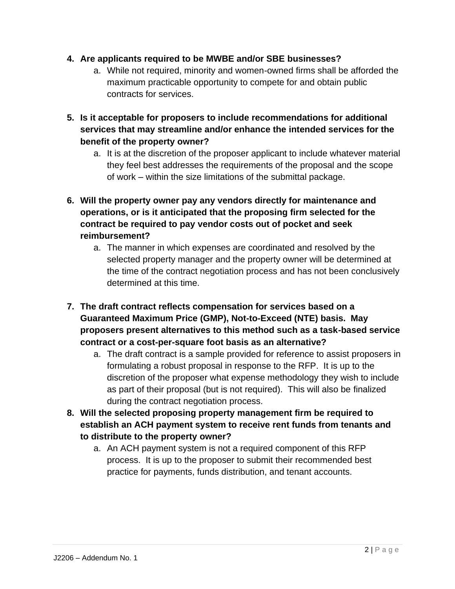#### **4. Are applicants required to be MWBE and/or SBE businesses?**

- a. While not required, minority and women-owned firms shall be afforded the maximum practicable opportunity to compete for and obtain public contracts for services.
- **5. Is it acceptable for proposers to include recommendations for additional services that may streamline and/or enhance the intended services for the benefit of the property owner?**
	- a. It is at the discretion of the proposer applicant to include whatever material they feel best addresses the requirements of the proposal and the scope of work – within the size limitations of the submittal package.
- **6. Will the property owner pay any vendors directly for maintenance and operations, or is it anticipated that the proposing firm selected for the contract be required to pay vendor costs out of pocket and seek reimbursement?**
	- a. The manner in which expenses are coordinated and resolved by the selected property manager and the property owner will be determined at the time of the contract negotiation process and has not been conclusively determined at this time.
- **7. The draft contract reflects compensation for services based on a Guaranteed Maximum Price (GMP), Not-to-Exceed (NTE) basis. May proposers present alternatives to this method such as a task-based service contract or a cost-per-square foot basis as an alternative?**
	- a. The draft contract is a sample provided for reference to assist proposers in formulating a robust proposal in response to the RFP. It is up to the discretion of the proposer what expense methodology they wish to include as part of their proposal (but is not required). This will also be finalized during the contract negotiation process.
- **8. Will the selected proposing property management firm be required to establish an ACH payment system to receive rent funds from tenants and to distribute to the property owner?**
	- a. An ACH payment system is not a required component of this RFP process. It is up to the proposer to submit their recommended best practice for payments, funds distribution, and tenant accounts.